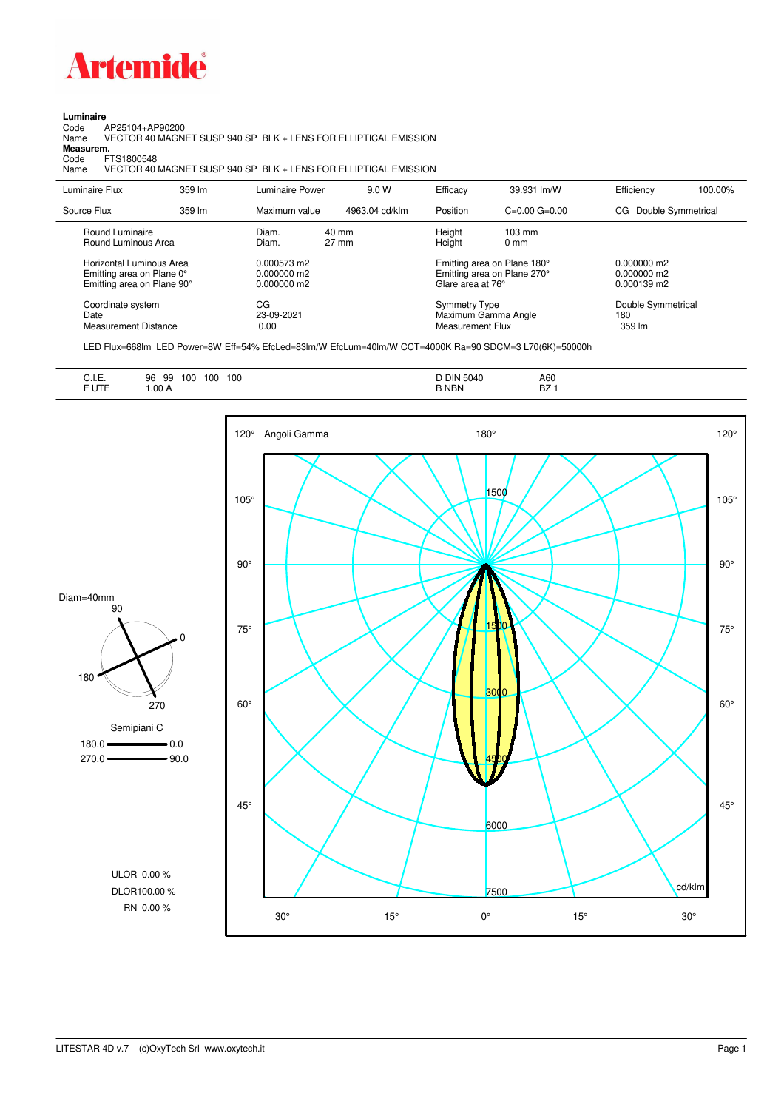

## **Luminaire**<br>Code /<br>Name

Code AP25104+AP90200 Name VECTOR 40 MAGNET SUSP 940 SP BLK + LENS FOR ELLIPTICAL EMISSION **Measurem.**

Code FTS1800548<br>Name VECTOR 40 VECTOR 40 MAGNET SUSP 940 SP BLK + LENS FOR ELLIPTICAL EMISSION

| Luminaire Flux                                                                                                                | 359 lm | Luminaire Power                                                 | 9.0 W                    | Efficacy                              | 39.931 lm/W                                                                                      | Efficiency                                             | 100.00% |
|-------------------------------------------------------------------------------------------------------------------------------|--------|-----------------------------------------------------------------|--------------------------|---------------------------------------|--------------------------------------------------------------------------------------------------|--------------------------------------------------------|---------|
| Source Flux                                                                                                                   | 359 lm | Maximum value                                                   | 4963.04 cd/klm           | Position                              | $C=0.00$ $G=0.00$                                                                                | Double Symmetrical<br>CG                               |         |
| Round Luminaire<br>Round Luminous Area<br>Horizontal Luminous Area<br>Emitting area on Plane 0°<br>Emitting area on Plane 90° |        | Diam.<br>Diam.<br>0.000573 m2<br>$0.000000$ m2<br>$0.000000$ m2 | 40 mm<br>$27 \text{ mm}$ | Height<br>Height<br>Glare area at 76° | $103 \text{ mm}$<br>$0 \text{ mm}$<br>Emitting area on Plane 180°<br>Emitting area on Plane 270° | $0.000000$ m2<br>$0.000000$ m2<br>$0.000139 \text{ m}$ |         |
| Coordinate system<br>Date<br>Measurement Distance                                                                             |        | CG<br>23-09-2021<br>0.00                                        |                          | Symmetry Type<br>Measurement Flux     | Maximum Gamma Angle                                                                              | Double Symmetrical<br>180<br>359 lm                    |         |

LED Flux=668lm LED Power=8W Eff=54% EfcLed=83lm/W EfcLum=40lm/W CCT=4000K Ra=90 SDCM=3 L70(6K)=50000h

| $\sim$<br>100<br>100<br>99<br>DIN <i>נ</i><br>100<br>5040<br>96<br>-<br>◡ . ៲. ⊏.<br><b>FUTE</b><br>B NBN<br>.00A<br>______ | A60<br>n7<br>DZ. |
|-----------------------------------------------------------------------------------------------------------------------------|------------------|
|-----------------------------------------------------------------------------------------------------------------------------|------------------|